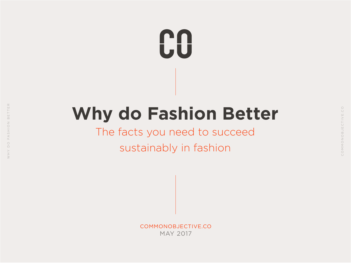# **CO**

## **Why do Fashion Better**

## The facts you need to succeed

## sustainably in fashion

COMMONOBJECTIVE.CO MAY 2017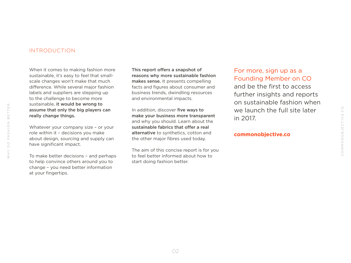#### INTRODUCTION

When it comes to making fashion more sustainable, it's easy to feel that smallscale changes won't make that much difference. While several major fashion labels and suppliers are stepping up to the challenge to become more sustainable, it would be wrong to assume that only the big players can really change things.

Whatever your company size - or your role within it – decisions you make about design, sourcing and supply can have significant impact.

To make better decisions – and perhaps to help convince others around you to change – you need better information at your fingertips.

This report offers a snapshot of reasons why more sustainable fashion makes sense. It presents compelling facts and figures about consumer and business trends, dwindling resources and environmental impacts.

In addition, discover five ways to make your business more transparent and why you should. Learn about the sustainable fabrics that offer a real alternative to synthetics, cotton and the other major fibres used today.

The aim of this concise report is for you to feel better informed about how to start doing fashion better.

[For more, sign up as a](https://www.commonobjective.co)  [Founding Member on CO](https://www.commonobjective.co) and be the first to access further insights and reports on sustainable fashion when we launch the full site later in 2017.

#### **commonobjective.co**

 $\rm _{\odot}^{\circ}$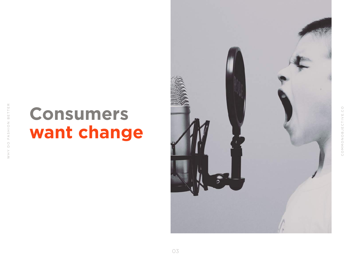## **Consumers want change**

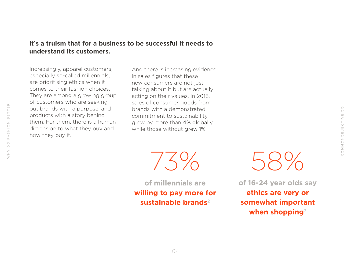### **It's a truism that for a business to be successful it needs to understand its customers.**

Increasingly, apparel customers, especially so-called millennials, are prioritising ethics when it comes to their fashion choices. They are among a growing group of customers who are seeking out brands with a purpose, and products with a story behind them. For them, there is a human dimension to what they buy and how they buy it.

And there is increasing evidence in sales figures that these new consumers are not just talking about it but are actually acting on their values. In 2015, sales of consumer goods from brands with a demonstrated commitment to sustainability grew by more than 4% globally while those without grew 1%.<sup>1</sup>

 $7.5\%$ 

**of millennials are willing to pay more for sustainable brands**<sup>2</sup>



**of 16-24 year olds say ethics are very or somewhat important when shopping**<sup>3</sup>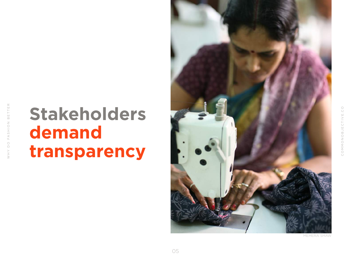## **Stakeholders demand transparency**



MEHERA SHAW

COMMONOBJECTIVE.CO

COMMONOBJECTIVE

 $_{\bigcirc}^{\bigcirc}$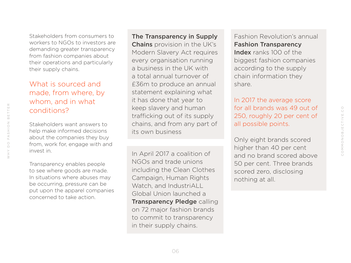Stakeholders from consumers to workers to NGOs to investors are demanding greater transparency from fashion companies about their operations and particularly their supply chains.

### What is sourced and made, from where, by whom, and in what conditions?

Stakeholders want answers to help make informed decisions about the companies they buy from, work for, engage with and invest in.

Transparency enables people to see where goods are made. In situations where abuses may be occurring, pressure can be put upon the apparel companies concerned to take action.

[The Transparency in Supply](http://www.legislation.gov.uk/uksi/2015/1833/contents/made) 

**[Chains](http://www.legislation.gov.uk/uksi/2015/1833/contents/made)** provision in the UK's Modern Slavery Act requires every organisation running a business in the UK with a total annual turnover of £36m to produce an annual statement explaining what it has done that year to keep slavery and human trafficking out of its supply chains, and from any part of its own business

In April 2017 a coalition of NGOs and trade unions including the Clean Clothes Campaign, Human Rights Watch, and IndustriALL Global Union launched a [Transparency Pledge](https://www.hrw.org/sites/default/files/supporting_resources/transparency_pledge_1_pager.pdf) calling on 72 major fashion brands to commit to transparency in their supply chains.

Fashion Revolution's annual [Fashion Transparency](http://fashionrevolution.org/wp-content/uploads/2016/04/FR_FashionTransparencyIndex.pdf)  [Index](http://fashionrevolution.org/wp-content/uploads/2016/04/FR_FashionTransparencyIndex.pdf) ranks 100 of the biggest fashion companies according to the supply chain information they share.

In 2017 the average score for all brands was 49 out of 250, roughly 20 per cent of all possible points.

COMMONOBJECTIVE.CO

COMMONOBJECTIVE.

 $\rm _{\rm C}^{\rm O}$ 

Only eight brands scored higher than 40 per cent and no brand scored above 50 per cent. Three brands scored zero, disclosing nothing at all.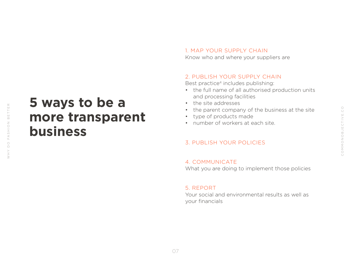## **5 ways to be a more transparent business**

### 1. MAP YOUR SUPPLY CHAIN

Know who and where your suppliers are

#### 2. PUBLISH YOUR SUPPLY CHAIN

Best practice<sup>4</sup> includes publishing:

- the full name of all authorised production units and processing facilities
- the site addresses
- the parent company of the business at the site
- • type of products made
- number of workers at each site.

### 3. PUBLISH YOUR POLICIES

#### 4. COMMUNICATE

What you are doing to implement those policies

#### 5. REPORT

Your social and environmental results as well as your financials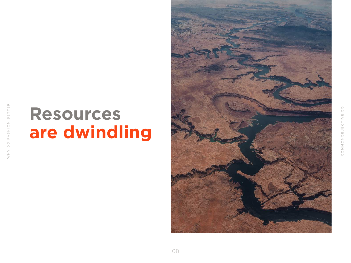## **Resources are dwindling**

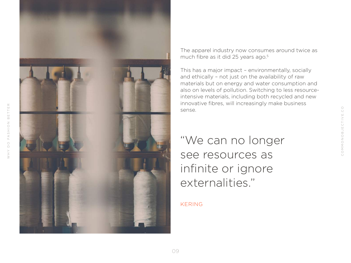

WHY DO FASHION BETTER

OQ AHW

FASHION BETTER

The apparel industry now consumes around twice as much fibre as it did 25 years ago.<sup>5</sup>

This has a major impact – environmentally, socially and ethically – not just on the availability of raw materials but on energy and water consumption and also on levels of pollution. Switching to less resourceintensive materials, including both recycled and new innovative fibres, will increasingly make business sense.

"We can no longer see resources as infinite or ignore externalities."

#### KERING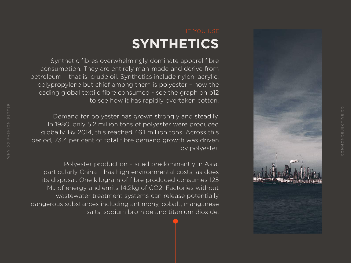

### IF YOU USE **SYNTHETICS**

Synthetic fibres overwhelmingly dominate apparel fibre consumption. They are entirely man-made and derive from petroleum – that is, crude oil. Synthetics include nylon, acrylic, polypropylene but chief among them is polyester – now the leading global textile fibre consumed - see the graph on p12 to see how it has rapidly overtaken cotton.

Demand for polyester has grown strongly and steadily. In 1980, only 5.2 million tons of polyester were produced globally. By 2014, this reached 46.1 million tons. Across this period, 73.4 per cent of total fibre demand growth was driven by polyester.

Polyester production – sited predominantly in Asia, particularly China – has high environmental costs, as does its disposal. One kilogram of fibre produced consumes 125 MJ of energy and emits 14.2kg of CO2. Factories without wastewater treatment systems can release potentially dangerous substances including antimony, cobalt, manganese salts, sodium bromide and titanium dioxide.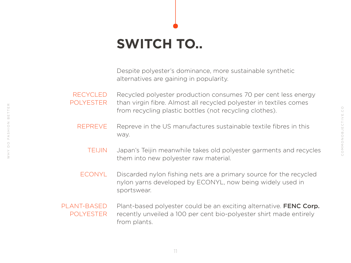## **SWITCH TO..**

Despite polyester's dominance, more sustainable synthetic alternatives are gaining in popularity.

Recycled polyester production consumes 70 per cent less energy than virgin fibre. Almost all recycled polyester in textiles comes from recycling plastic bottles (not recycling clothes). RECYCLED POLYESTER

- Repreve in the US manufactures sustainable textile fibres in this way. [REPREVE](http://www.repreve.com/)
	- Japan's Teijin meanwhile takes old polyester garments and recycles them into new polyester raw material. [TEIJIN](https://www.teijin.com/)
- Discarded nylon fishing nets are a primary source for the recycled nylon yarns developed by ECONYL, now being widely used in sportswear. [ECONYL](http://www.econyl.com/)
- Plant-based polyester could be an exciting alternative. **[FENC Corp](http://research.fenc.com/upload/rdfile/n-4-1-2-2_en.pdf).** recently unveiled a 100 per cent bio-polyester shirt made entirely from plants. PLANT-BASED POLYESTER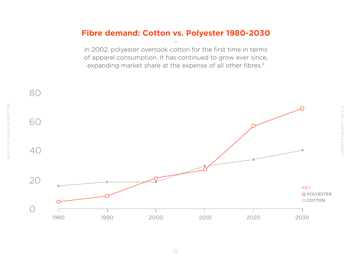### **Fibre demand: Cotton vs. Polyester 1980-2030**

–

In 2002, polyester overtook cotton for the first time in terms of apparel consumption. It has continued to grow ever since, expanding market share at the expense of all other fibres.<sup>6</sup>

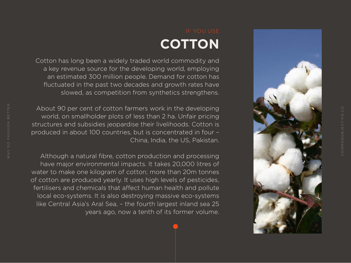

## **COTTON**

Cotton has long been a widely traded world commodity and a key revenue source for the developing world, employing an estimated 300 million people. Demand for cotton has fluctuated in the past two decades and growth rates have slowed, as competition from synthetics strengthens.

About 90 per cent of cotton farmers work in the developing world, on smallholder plots of less than 2 ha. Unfair pricing structures and subsidies jeopardise their livelihoods. Cotton is produced in about 100 countries, but is concentrated in four – China, India, the US, Pakistan.

Although a natural fibre, cotton production and processing have major environmental impacts. It takes 20,000 litres of water to make one kilogram of cotton; more than 20m tonnes of cotton are produced yearly. It uses high levels of pesticides, fertilisers and chemicals that affect human health and pollute local eco-systems. It is also destroying massive eco-systems like Central Asia's Aral Sea, – the fourth largest inland sea 25 years ago, now a tenth of its former volume.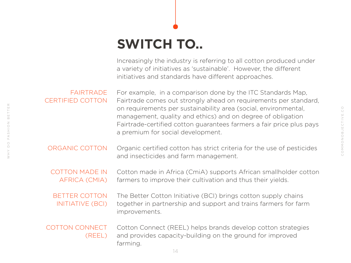## **SWITCH TO..**

Increasingly the industry is referring to all cotton produced under a variety of initiatives as 'sustainable'. However, the different initiatives and standards have different approaches.

For example, in a comparison done by the ITC Standards Map, Fairtrade comes out strongly ahead on requirements per standard, on requirements per sustainability area (social, environmental, management, quality and ethics) and on degree of obligation Fairtrade-certified cotton guarantees farmers a fair price plus pays a premium for social development. **FAIRTRADE** [CERTIFIED COTTON](http://www.fairtrade.org.uk/en/buying-fairtrade/cotton)

Organic certified cotton has strict criteria for the use of pesticides and insecticides and farm management. [ORGANIC COTTON](http://global-standard.org/)

Cotton made in Africa (CmiA) supports African smallholder cotton farmers to improve their cultivation and thus their yields. [COTTON MADE IN](http://www.cottonmadeinafrica.org/en/)  [AFRICA \(CMIA\)](http://www.cottonmadeinafrica.org/en/)

The Better Cotton Initiative (BCI) brings cotton supply chains together in partnership and support and trains farmers for farm improvements. [BETTER COTTON](http://bettercotton.org/)  [INITIATIVE \(BCI\)](http://bettercotton.org/)

Cotton Connect (REEL) helps brands develop cotton strategies and provides capacity-building on the ground for improved farming. [COTTON CONNECT](http://cottonconnect.org/how-we-work/)  [\(REEL\)](http://cottonconnect.org/how-we-work/)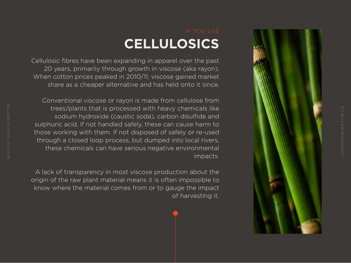

COMMONOBJECTIVE.CO

## **CELLULOSICS**

Cellulosic fibres have been expanding in apparel over the past 20 years, primarily through growth in viscose (aka rayon). When cotton prices peaked in 2010/11, viscose gained market share as a cheaper alternative and has held onto it since.

Conventional viscose or rayon is made from cellulose from trees/plants that is processed with heavy chemicals like sodium hydroxide (caustic soda), carbon disulfide and sulphuric acid. If not handled safely, these can cause harm to those working with them. If not disposed of safely or re-used through a closed loop process, but dumped into local rivers, these chemicals can have serious negative environmental impacts.

A lack of transparency in most viscose production about the origin of the raw plant material means it is often impossible to know where the material comes from or to gauge the impact of harvesting it.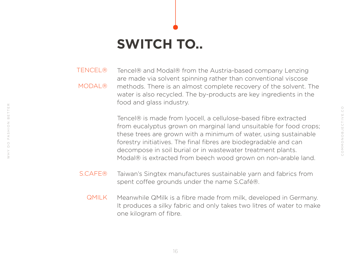## **SWITCH TO..**

WHY DO FASHION BETTER

FASHION

 $\overline{\bigcirc}$ 

 $\geq$ 

 $\top \to \Xi$ 

BET<sup>-</sup>

Tencel® and Modal® from the Austria-based company Lenzing are made via solvent spinning rather than conventional viscose methods. There is an almost complete recovery of the solvent. The water is also recycled. The by-products are key ingredients in the food and glass industry. [TENCEL®](http://www.lenzing-fibers.com/en/tencel/) [MODAL®](http://www.lenzing-fibers.com/en/lenzing-modal/)

> Tencel® is made from lyocell, a cellulose-based fibre extracted from eucalyptus grown on marginal land unsuitable for food crops; these trees are grown with a minimum of water, using sustainable forestry initiatives. The final fibres are biodegradable and can decompose in soil burial or in wastewater treatment plants. Modal® is extracted from beech wood grown on non-arable land.

- Taiwan's Singtex manufactures sustainable yarn and fabrics from spent coffee grounds under the name S.Café®. [S.CAFE®](http://www.scafefabrics.com/en-global)
	- Meanwhile QMilk is a fibre made from milk, developed in Germany. It produces a silky fabric and only takes two litres of water to make one kilogram of fibre. [QMILK](http://www.qmilk.eu/)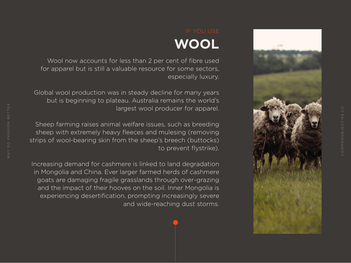

COMMONOBJECTIVE.CO

## **WOOL**

Wool now accounts for less than 2 per cent of fibre used for apparel but is still a valuable resource for some sectors, especially luxury.

Global wool production was in steady decline for many years but is beginning to plateau. Australia remains the world's largest wool producer for apparel.

Sheep farming raises animal welfare issues, such as breeding sheep with extremely heavy fleeces and mulesing (removing strips of wool-bearing skin from the sheep's breech (buttocks) to prevent flystrike).

Increasing demand for cashmere is linked to land degradation in Mongolia and China. Ever larger farmed herds of cashmere goats are damaging fragile grasslands through over-grazing and the impact of their hooves on the soil. Inner Mongolia is experiencing desertification, prompting increasingly severe and wide-reaching dust storms.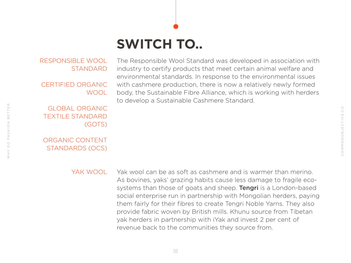## **SWITCH TO..**

#### [RESPONSIBLE WOOL](http://responsiblewool.org/)  [STANDARD](http://responsiblewool.org/)

CERTIFIED ORGANIC WOOL

[GLOBAL ORGANIC](http://global-standard.org/)  [TEXTILE STANDARD](http://global-standard.org/)  [\(GOTS\)](http://global-standard.org/)

[ORGANIC CONTENT](http://www.ecocert.com/en/Organic-Content-standard)  [STANDARDS \(OCS\)](http://www.ecocert.com/en/Organic-Content-standard)

The Responsible Wool Standard was developed in association with industry to certify products that meet certain animal welfare and environmental standards. In response to the environmental issues with cashmere production, there is now a relatively newly formed body, the Sustainable Fibre Alliance, which is working with herders to develop a Sustainable Cashmere Standard.

#### YAK WOOL

Yak wool can be as soft as cashmere and is warmer than merino. As bovines, yaks' grazing habits cause less damage to fragile ecosystems than those of goats and sheep. **Tengri** is a London-based social enterprise run in partnership with Mongolian herders, paying them fairly for their fibres to create Tengri Noble Yarns. They also provide fabric woven by British mills. Khunu source from Tibetan yak herders in partnership with iYak and invest 2 per cent of revenue back to the communities they source from.

 $\mathbb{E}$ 

 $\vdash$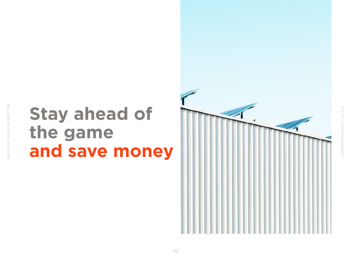## **Stay ahead of the game and save money**

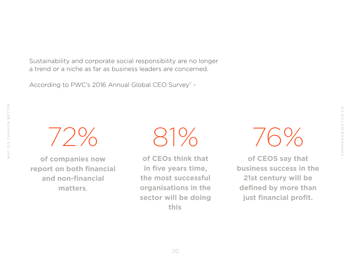$_{\bigcirc}^{\bigcirc}$ COMMONOBJECTIVE.CO COMMONOBJECTIVE.

Sustainability and corporate social responsibility are no longer a trend or a niche as far as business leaders are concerned.

According to PWC's 2016 Annual Global CEO Survey<sup>7</sup> -

72% 81%

WHY DO FASHION BETTER

FASHION

 $\circ$ 

 $\times$  H  $\times$ 

 $\top \equiv \mathsf{R}$ 

 $B \n\in T$ 

**of companies now report on both financial and non-financial matters**.

**of CEOs think that in five years time, the most successful organisations in the sector will be doing this**.

76%

**of CEOS say that business success in the 21st century will be defined by more than just financial profit.**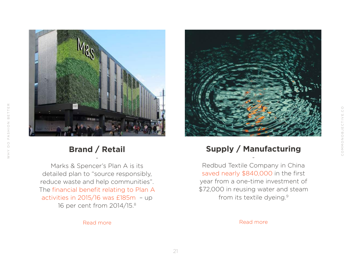$\vee$  H  $\vee$ 



### **Brand / Retail** -

Marks & Spencer's Plan A is its detailed plan to "source responsibly, reduce waste and help communities". The financial benefit relating to Plan A activities in 2015/16 was £185m – up 16 per cent from 2014/15.8



### **Supply / Manufacturing** -

COMMONOBJECTIVE.CO

COMMONOBJECTIVE.CO

Redbud Textile Company in China saved nearly \$840,000 in the first year from a one-time investment of \$72,000 in reusing water and steam from its textile dyeing.9

[Read more](https://www.nrdc.org/sites/default/files/redbud.pdf) **Read more**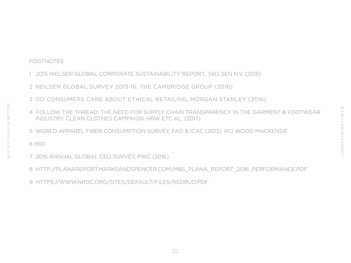### FOOTNOTES

- 1 2015 NIELSEN GLOBAL CORPORATE SUSTAINABILITY REPORT, NIELSEN N.V. (2015)
- 2 NEILSEN GLOBAL SURVEY 2013-16; THE CAMBRIDGE GROUP (2016)
- 3 DO CONSUMERS CARE ABOUT ETHICAL RETAILING, MORGAN STANLEY (2016)
- 4 FOLLOW THE THREAD: THE NEED FOR SUPPLY CHAIN TRANSPARENCY IN THE GARMENT & FOOTWEAR INDUSTRY, CLEAN CLOTHES CAMPAIGN, HRW ETC AL, (2017)
- 5 WORLD APPAREL FIBER CONSUMPTION SURVEY, FAO & ICAC (2013), PCI WOOD MACKENSIE

6 IBID

WHY DO FASHION BETTER

 $\circ$ 

 $\searrow$  H  $\wedge$ 

FASHION

 $\overline{\mathbb{H}}$ 

 $\frac{\Gamma}{\Gamma}$ 

 $\Omega$ 

- 7 2016 ANNUAL GLOBAL CEO SURVEY, PWC (2016)
- 8 HTTP://PLANAREPORT.MARKSANDSPENCER.COM/M&S\_PLANA\_REPORT\_2016\_PERFORMANCE.PDF
- 9 HTTPS://WWW.NRDC.ORG/SITES/DEFAULT/FILES/REDBUD.PDF

22